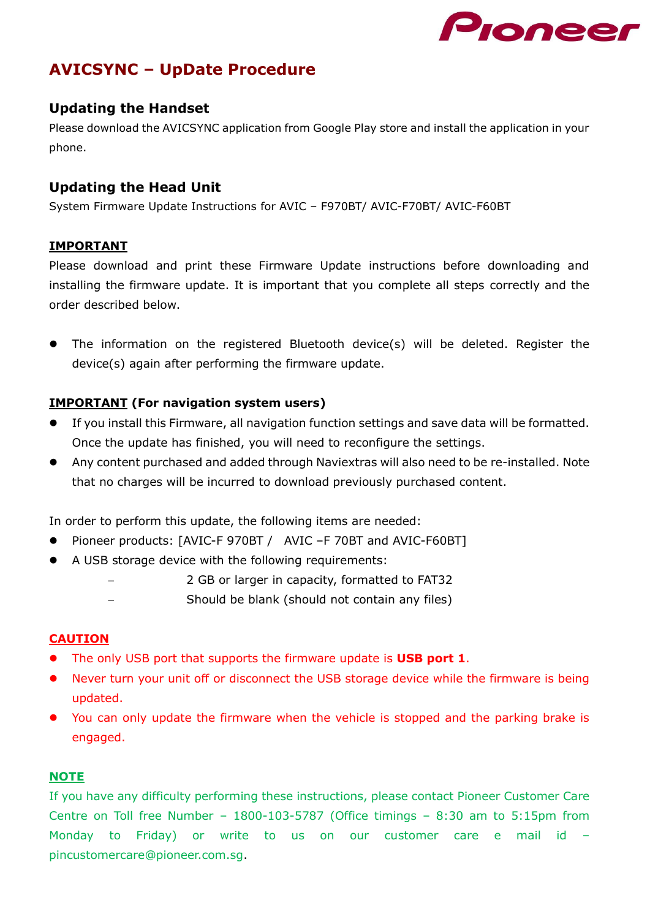

# **AVICSYNC – UpDate Procedure**

### **Updating the Handset**

Please download the AVICSYNC application from Google Play store and install the application in your phone.

### **Updating the Head Unit**

System Firmware Update Instructions for AVIC – F970BT/ AVIC-F70BT/ AVIC-F60BT

#### **IMPORTANT**

Please download and print these Firmware Update instructions before downloading and installing the firmware update. It is important that you complete all steps correctly and the order described below.

 The information on the registered Bluetooth device(s) will be deleted. Register the device(s) again after performing the firmware update.

### **IMPORTANT (For navigation system users)**

- If you install this Firmware, all navigation function settings and save data will be formatted. Once the update has finished, you will need to reconfigure the settings.
- Any content purchased and added through Naviextras will also need to be re-installed. Note that no charges will be incurred to download previously purchased content.

In order to perform this update, the following items are needed:

- Pioneer products: [AVIC-F 970BT / AVIC –F 70BT and AVIC-F60BT]
- A USB storage device with the following requirements:
	- 2 GB or larger in capacity, formatted to FAT32
	- Should be blank (should not contain any files)

#### **CAUTION**

- The only USB port that supports the firmware update is **USB port 1**.
- Never turn your unit off or disconnect the USB storage device while the firmware is being updated.
- You can only update the firmware when the vehicle is stopped and the parking brake is engaged.

#### **NOTE**

If you have any difficulty performing these instructions, please contact Pioneer Customer Care Centre on Toll free Number – 1800-103-5787 (Office timings – 8:30 am to 5:15pm from Monday to Friday) or write to us on our customer care e mail id – pincustomercare@pioneer.com.sg.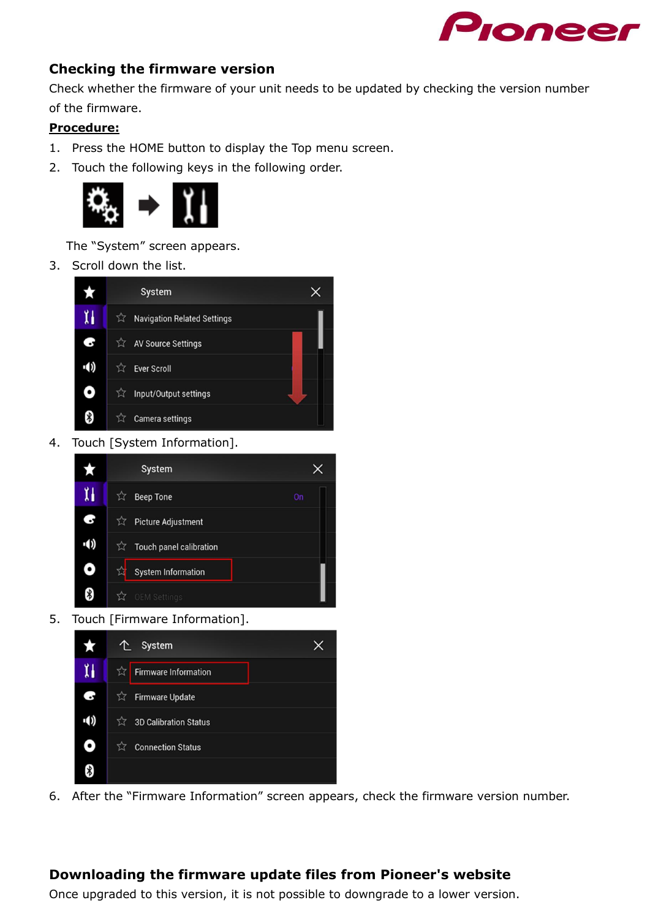

### **Checking the firmware version**

Check whether the firmware of your unit needs to be updated by checking the version number of the firmware.

#### **Procedure:**

- 1. Press the HOME button to display the Top menu screen.
- 2. Touch the following keys in the following order.



The "System" screen appears.

3. Scroll down the list.



4. Touch [System Information].



5. Touch [Firmware Information].



6. After the "Firmware Information" screen appears, check the firmware version number.

### **Downloading the firmware update files from Pioneer's website**

Once upgraded to this version, it is not possible to downgrade to a lower version.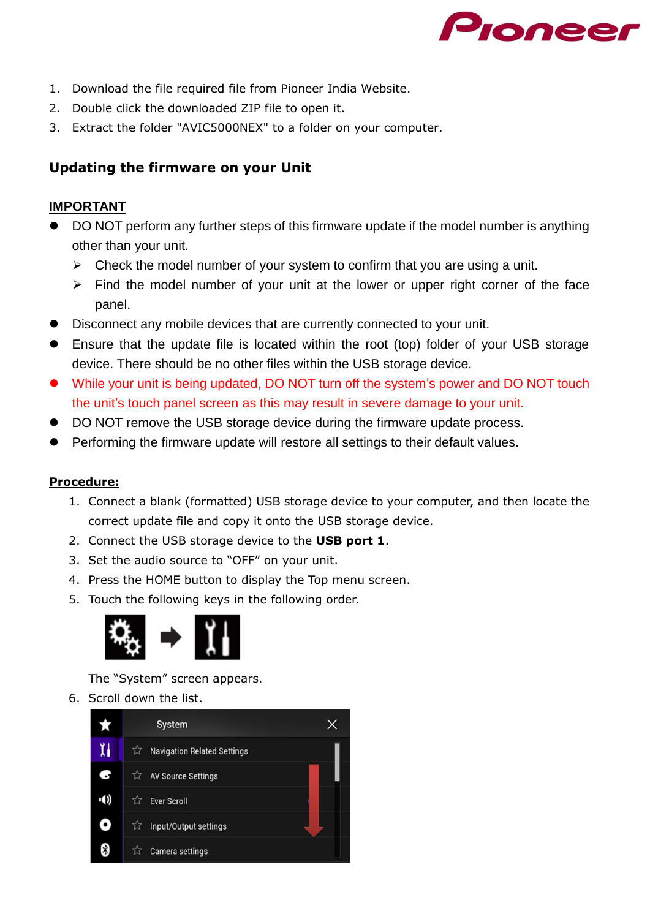

- 1. Download the file required file from Pioneer India Website.
- 2. Double click the downloaded ZIP file to open it.
- 3. Extract the folder "AVIC5000NEX" to a folder on your computer.

## **Updating the firmware on your Unit**

### **IMPORTANT**

- DO NOT perform any further steps of this firmware update if the model number is anything other than your unit.
	- $\triangleright$  Check the model number of your system to confirm that you are using a unit.
	- $\triangleright$  Find the model number of your unit at the lower or upper right corner of the face panel.
- Disconnect any mobile devices that are currently connected to your unit.
- Ensure that the update file is located within the root (top) folder of your USB storage device. There should be no other files within the USB storage device.
- While your unit is being updated, DO NOT turn off the system's power and DO NOT touch the unit's touch panel screen as this may result in severe damage to your unit.
- DO NOT remove the USB storage device during the firmware update process.
- Performing the firmware update will restore all settings to their default values.

#### **Procedure:**

- 1. Connect a blank (formatted) USB storage device to your computer, and then locate the correct update file and copy it onto the USB storage device.
- 2. Connect the USB storage device to the **USB port 1**.
- 3. Set the audio source to "OFF" on your unit.
- 4. Press the HOME button to display the Top menu screen.
- 5. Touch the following keys in the following order.



The "System" screen appears.

6. Scroll down the list.

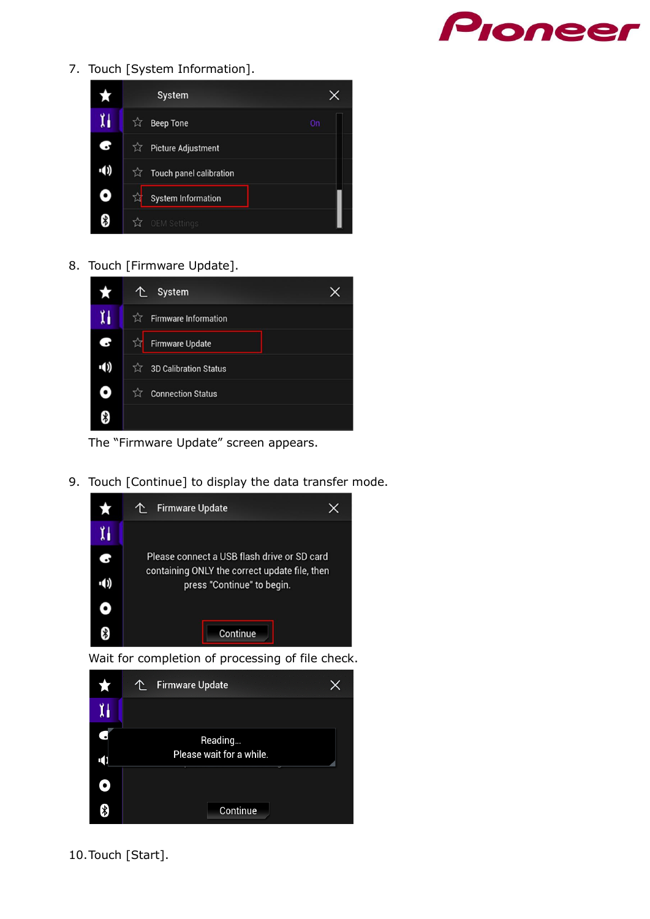

7. Touch [System Information].



8. Touch [Firmware Update].



The "Firmware Update" screen appears.

9. Touch [Continue] to display the data transfer mode.



Wait for completion of processing of file check.



10.Touch [Start].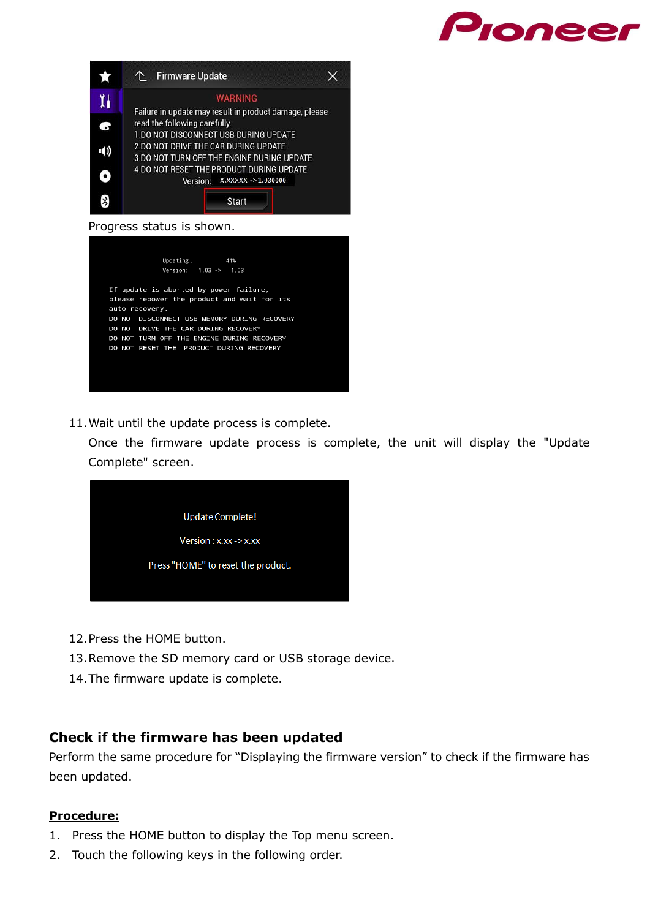



#### Progress status is shown.



11.Wait until the update process is complete.

Once the firmware update process is complete, the unit will display the "Update Complete" screen.



- 12.Press the HOME button.
- 13.Remove the SD memory card or USB storage device.
- 14.The firmware update is complete.

#### **Check if the firmware has been updated**

Perform the same procedure for "Displaying the firmware version" to check if the firmware has been updated.

#### **Procedure:**

- 1. Press the HOME button to display the Top menu screen.
- 2. Touch the following keys in the following order.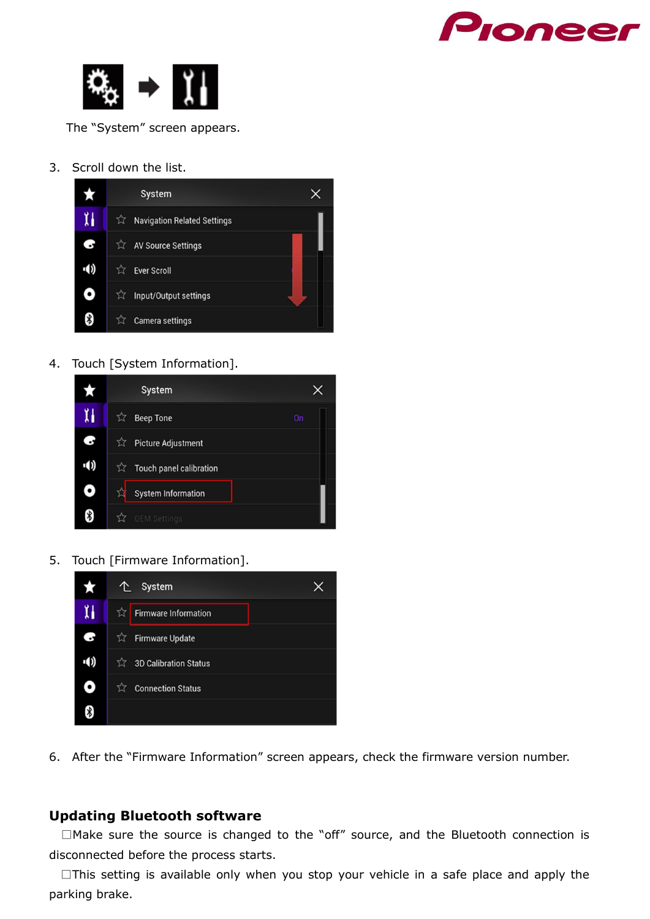



The "System" screen appears.

3. Scroll down the list.



4. Touch [System Information].



5. Touch [Firmware Information].



6. After the "Firmware Information" screen appears, check the firmware version number.

### **Updating Bluetooth software**

□Make sure the source is changed to the "off" source, and the Bluetooth connection is disconnected before the process starts.

 $\square$ This setting is available only when you stop your vehicle in a safe place and apply the parking brake.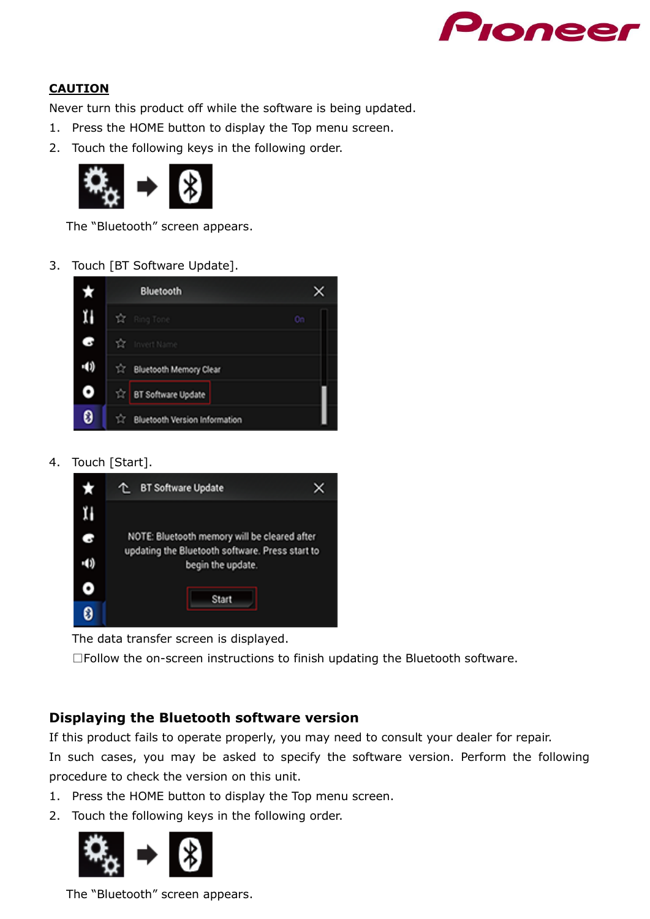

### **CAUTION**

Never turn this product off while the software is being updated.

- 1. Press the HOME button to display the Top menu screen.
- 2. Touch the following keys in the following order.



The "Bluetooth" screen appears.

#### 3. Touch [BT Software Update].



4. Touch [Start].



The data transfer screen is displayed.

□Follow the on-screen instructions to finish updating the Bluetooth software.

### **Displaying the Bluetooth software version**

If this product fails to operate properly, you may need to consult your dealer for repair. In such cases, you may be asked to specify the software version. Perform the following

procedure to check the version on this unit.

- 1. Press the HOME button to display the Top menu screen.
- 2. Touch the following keys in the following order.



The "Bluetooth" screen appears.